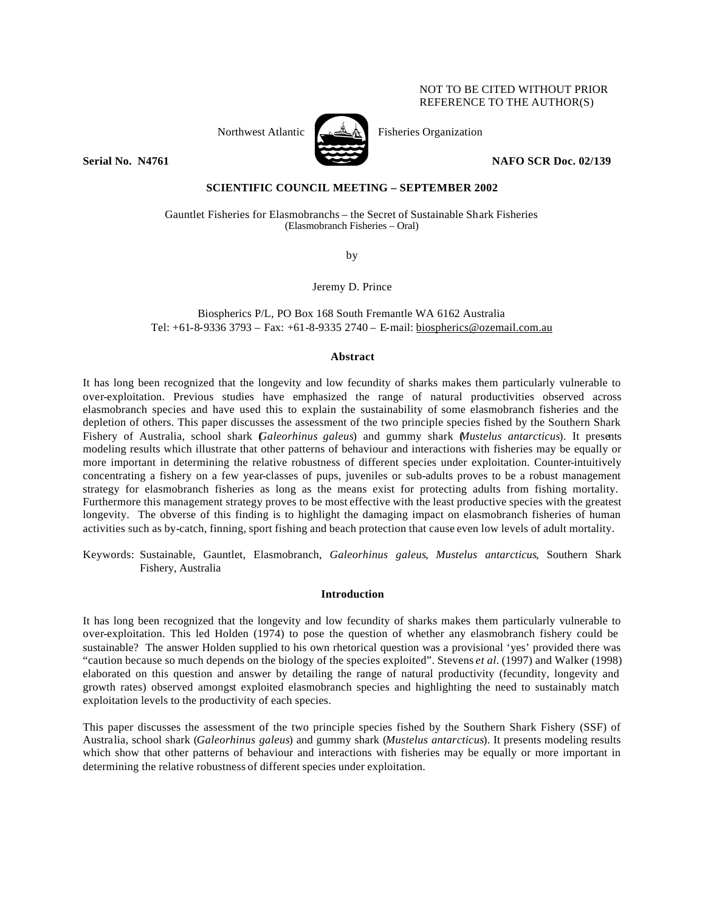# NOT TO BE CITED WITHOUT PRIOR REFERENCE TO THE AUTHOR(S)



Northwest Atlantic Fisheries Organization

**Serial No. 14761 NAFO SCR Doc. 02/139** 

# **SCIENTIFIC COUNCIL MEETING – SEPTEMBER 2002**

Gauntlet Fisheries for Elasmobranchs – the Secret of Sustainable Shark Fisheries (Elasmobranch Fisheries – Oral)

by

Jeremy D. Prince

Biospherics P/L, PO Box 168 South Fremantle WA 6162 Australia Tel: +61-8-9336 3793 – Fax: +61-8-9335 2740 – E-mail: biospherics@ozemail.com.au

### **Abstract**

It has long been recognized that the longevity and low fecundity of sharks makes them particularly vulnerable to over-exploitation. Previous studies have emphasized the range of natural productivities observed across elasmobranch species and have used this to explain the sustainability of some elasmobranch fisheries and the depletion of others. This paper discusses the assessment of the two principle species fished by the Southern Shark Fishery of Australia, school shark (*Galeorhinus galeus*) and gummy shark (*Mustelus antarcticus*). It presents modeling results which illustrate that other patterns of behaviour and interactions with fisheries may be equally or more important in determining the relative robustness of different species under exploitation. Counter-intuitively concentrating a fishery on a few year-classes of pups, juveniles or sub-adults proves to be a robust management strategy for elasmobranch fisheries as long as the means exist for protecting adults from fishing mortality. Furthermore this management strategy proves to be most effective with the least productive species with the greatest longevity. The obverse of this finding is to highlight the damaging impact on elasmobranch fisheries of human activities such as by-catch, finning, sport fishing and beach protection that cause even low levels of adult mortality.

Keywords: Sustainable, Gauntlet, Elasmobranch, *Galeorhinus galeus*, *Mustelus antarcticus*, Southern Shark Fishery, Australia

## **Introduction**

It has long been recognized that the longevity and low fecundity of sharks makes them particularly vulnerable to over-exploitation. This led Holden (1974) to pose the question of whether any elasmobranch fishery could be sustainable? The answer Holden supplied to his own rhetorical question was a provisional 'yes' provided there was "caution because so much depends on the biology of the species exploited". Stevens *et al.* (1997) and Walker (1998) elaborated on this question and answer by detailing the range of natural productivity (fecundity, longevity and growth rates) observed amongst exploited elasmobranch species and highlighting the need to sustainably match exploitation levels to the productivity of each species.

This paper discusses the assessment of the two principle species fished by the Southern Shark Fishery (SSF) of Australia, school shark (*Galeorhinus galeus*) and gummy shark (*Mustelus antarcticus*). It presents modeling results which show that other patterns of behaviour and interactions with fisheries may be equally or more important in determining the relative robustness of different species under exploitation.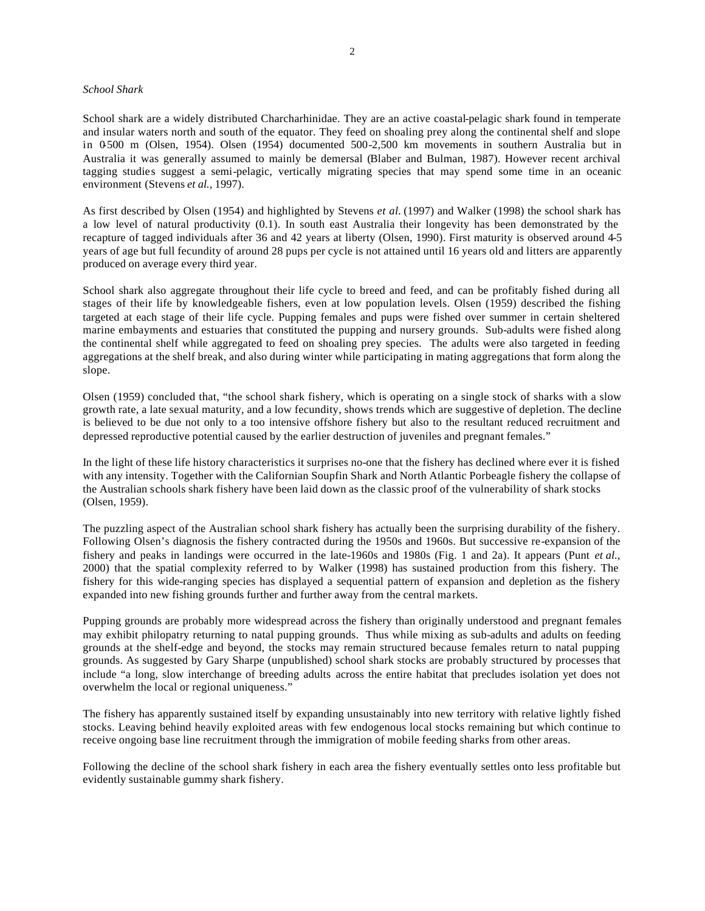### *School Shark*

School shark are a widely distributed Charcharhinidae. They are an active coastal-pelagic shark found in temperate and insular waters north and south of the equator. They feed on shoaling prey along the continental shelf and slope in 0-500 m (Olsen, 1954). Olsen (1954) documented 500-2,500 km movements in southern Australia but in Australia it was generally assumed to mainly be demersal (Blaber and Bulman, 1987). However recent archival tagging studies suggest a semi-pelagic, vertically migrating species that may spend some time in an oceanic environment (Stevens *et al.,* 1997).

As first described by Olsen (1954) and highlighted by Stevens *et al.* (1997) and Walker (1998) the school shark has a low level of natural productivity (0.1). In south east Australia their longevity has been demonstrated by the recapture of tagged individuals after 36 and 42 years at liberty (Olsen, 1990). First maturity is observed around 4-5 years of age but full fecundity of around 28 pups per cycle is not attained until 16 years old and litters are apparently produced on average every third year.

School shark also aggregate throughout their life cycle to breed and feed, and can be profitably fished during all stages of their life by knowledgeable fishers, even at low population levels. Olsen (1959) described the fishing targeted at each stage of their life cycle. Pupping females and pups were fished over summer in certain sheltered marine embayments and estuaries that constituted the pupping and nursery grounds. Sub-adults were fished along the continental shelf while aggregated to feed on shoaling prey species. The adults were also targeted in feeding aggregations at the shelf break, and also during winter while participating in mating aggregations that form along the slope.

Olsen (1959) concluded that, "the school shark fishery, which is operating on a single stock of sharks with a slow growth rate, a late sexual maturity, and a low fecundity, shows trends which are suggestive of depletion. The decline is believed to be due not only to a too intensive offshore fishery but also to the resultant reduced recruitment and depressed reproductive potential caused by the earlier destruction of juveniles and pregnant females."

In the light of these life history characteristics it surprises no-one that the fishery has declined where ever it is fished with any intensity. Together with the Californian Soupfin Shark and North Atlantic Porbeagle fishery the collapse of the Australian schools shark fishery have been laid down as the classic proof of the vulnerability of shark stocks (Olsen, 1959).

The puzzling aspect of the Australian school shark fishery has actually been the surprising durability of the fishery. Following Olsen's diagnosis the fishery contracted during the 1950s and 1960s. But successive re-expansion of the fishery and peaks in landings were occurred in the late-1960s and 1980s (Fig. 1 and 2a). It appears (Punt *et al.,*  2000) that the spatial complexity referred to by Walker (1998) has sustained production from this fishery. The fishery for this wide-ranging species has displayed a sequential pattern of expansion and depletion as the fishery expanded into new fishing grounds further and further away from the central markets.

Pupping grounds are probably more widespread across the fishery than originally understood and pregnant females may exhibit philopatry returning to natal pupping grounds. Thus while mixing as sub-adults and adults on feeding grounds at the shelf-edge and beyond, the stocks may remain structured because females return to natal pupping grounds. As suggested by Gary Sharpe (unpublished) school shark stocks are probably structured by processes that include "a long, slow interchange of breeding adults across the entire habitat that precludes isolation yet does not overwhelm the local or regional uniqueness."

The fishery has apparently sustained itself by expanding unsustainably into new territory with relative lightly fished stocks. Leaving behind heavily exploited areas with few endogenous local stocks remaining but which continue to receive ongoing base line recruitment through the immigration of mobile feeding sharks from other areas.

Following the decline of the school shark fishery in each area the fishery eventually settles onto less profitable but evidently sustainable gummy shark fishery.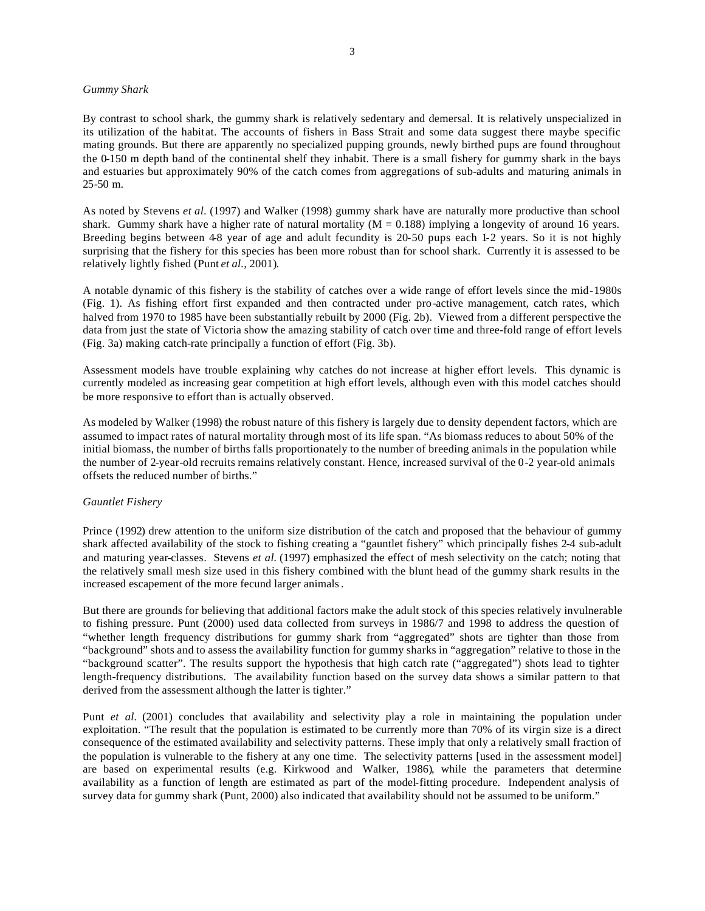#### *Gummy Shark*

By contrast to school shark, the gummy shark is relatively sedentary and demersal. It is relatively unspecialized in its utilization of the habitat. The accounts of fishers in Bass Strait and some data suggest there maybe specific mating grounds. But there are apparently no specialized pupping grounds, newly birthed pups are found throughout the 0-150 m depth band of the continental shelf they inhabit. There is a small fishery for gummy shark in the bays and estuaries but approximately 90% of the catch comes from aggregations of sub-adults and maturing animals in 25-50 m.

As noted by Stevens *et al.* (1997) and Walker (1998) gummy shark have are naturally more productive than school shark. Gummy shark have a higher rate of natural mortality ( $M = 0.188$ ) implying a longevity of around 16 years. Breeding begins between 48 year of age and adult fecundity is 20-50 pups each 1-2 years. So it is not highly surprising that the fishery for this species has been more robust than for school shark. Currently it is assessed to be relatively lightly fished (Punt *et al.,* 2001).

A notable dynamic of this fishery is the stability of catches over a wide range of effort levels since the mid-1980s (Fig. 1). As fishing effort first expanded and then contracted under pro-active management, catch rates, which halved from 1970 to 1985 have been substantially rebuilt by 2000 (Fig. 2b). Viewed from a different perspective the data from just the state of Victoria show the amazing stability of catch over time and three-fold range of effort levels (Fig. 3a) making catch-rate principally a function of effort (Fig. 3b).

Assessment models have trouble explaining why catches do not increase at higher effort levels. This dynamic is currently modeled as increasing gear competition at high effort levels, although even with this model catches should be more responsive to effort than is actually observed.

As modeled by Walker (1998) the robust nature of this fishery is largely due to density dependent factors, which are assumed to impact rates of natural mortality through most of its life span. "As biomass reduces to about 50% of the initial biomass, the number of births falls proportionately to the number of breeding animals in the population while the number of 2-year-old recruits remains relatively constant. Hence, increased survival of the 0-2 year-old animals offsets the reduced number of births."

## *Gauntlet Fishery*

Prince (1992) drew attention to the uniform size distribution of the catch and proposed that the behaviour of gummy shark affected availability of the stock to fishing creating a "gauntlet fishery" which principally fishes 2-4 sub-adult and maturing year-classes. Stevens *et al.* (1997) emphasized the effect of mesh selectivity on the catch; noting that the relatively small mesh size used in this fishery combined with the blunt head of the gummy shark results in the increased escapement of the more fecund larger animals.

But there are grounds for believing that additional factors make the adult stock of this species relatively invulnerable to fishing pressure. Punt (2000) used data collected from surveys in 1986/7 and 1998 to address the question of "whether length frequency distributions for gummy shark from "aggregated" shots are tighter than those from "background" shots and to assess the availability function for gummy sharks in "aggregation" relative to those in the "background scatter". The results support the hypothesis that high catch rate ("aggregated") shots lead to tighter length-frequency distributions. The availability function based on the survey data shows a similar pattern to that derived from the assessment although the latter is tighter."

Punt *et al.* (2001) concludes that availability and selectivity play a role in maintaining the population under exploitation. "The result that the population is estimated to be currently more than 70% of its virgin size is a direct consequence of the estimated availability and selectivity patterns. These imply that only a relatively small fraction of the population is vulnerable to the fishery at any one time. The selectivity patterns [used in the assessment model] are based on experimental results (e.g. Kirkwood and Walker, 1986), while the parameters that determine availability as a function of length are estimated as part of the model-fitting procedure. Independent analysis of survey data for gummy shark (Punt, 2000) also indicated that availability should not be assumed to be uniform."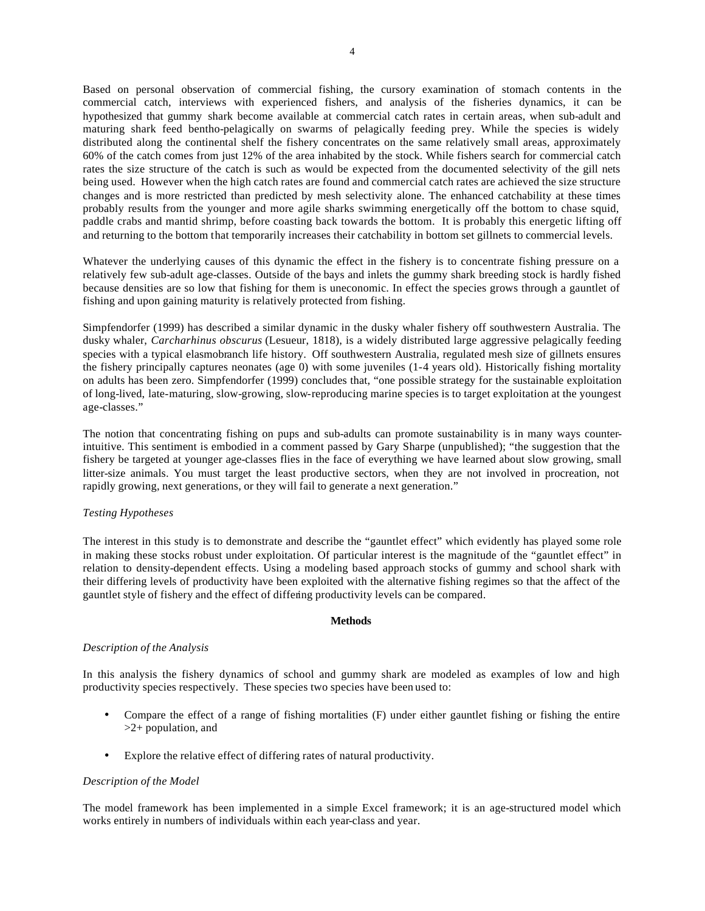Based on personal observation of commercial fishing, the cursory examination of stomach contents in the commercial catch, interviews with experienced fishers, and analysis of the fisheries dynamics, it can be hypothesized that gummy shark become available at commercial catch rates in certain areas, when sub-adult and maturing shark feed bentho-pelagically on swarms of pelagically feeding prey. While the species is widely distributed along the continental shelf the fishery concentrates on the same relatively small areas, approximately 60% of the catch comes from just 12% of the area inhabited by the stock. While fishers search for commercial catch rates the size structure of the catch is such as would be expected from the documented selectivity of the gill nets being used. However when the high catch rates are found and commercial catch rates are achieved the size structure changes and is more restricted than predicted by mesh selectivity alone. The enhanced catchability at these times probably results from the younger and more agile sharks swimming energetically off the bottom to chase squid, paddle crabs and mantid shrimp, before coasting back towards the bottom. It is probably this energetic lifting off and returning to the bottom that temporarily increases their catchability in bottom set gillnets to commercial levels.

Whatever the underlying causes of this dynamic the effect in the fishery is to concentrate fishing pressure on a relatively few sub-adult age-classes. Outside of the bays and inlets the gummy shark breeding stock is hardly fished because densities are so low that fishing for them is uneconomic. In effect the species grows through a gauntlet of fishing and upon gaining maturity is relatively protected from fishing.

Simpfendorfer (1999) has described a similar dynamic in the dusky whaler fishery off southwestern Australia. The dusky whaler, *Carcharhinus obscurus* (Lesueur, 1818), is a widely distributed large aggressive pelagically feeding species with a typical elasmobranch life history. Off southwestern Australia, regulated mesh size of gillnets ensures the fishery principally captures neonates (age 0) with some juveniles (1-4 years old). Historically fishing mortality on adults has been zero. Simpfendorfer (1999) concludes that, "one possible strategy for the sustainable exploitation of long-lived, late-maturing, slow-growing, slow-reproducing marine species is to target exploitation at the youngest age-classes."

The notion that concentrating fishing on pups and sub-adults can promote sustainability is in many ways counterintuitive. This sentiment is embodied in a comment passed by Gary Sharpe (unpublished); "the suggestion that the fishery be targeted at younger age-classes flies in the face of everything we have learned about slow growing, small litter-size animals. You must target the least productive sectors, when they are not involved in procreation, not rapidly growing, next generations, or they will fail to generate a next generation."

## *Testing Hypotheses*

The interest in this study is to demonstrate and describe the "gauntlet effect" which evidently has played some role in making these stocks robust under exploitation. Of particular interest is the magnitude of the "gauntlet effect" in relation to density-dependent effects. Using a modeling based approach stocks of gummy and school shark with their differing levels of productivity have been exploited with the alternative fishing regimes so that the affect of the gauntlet style of fishery and the effect of differing productivity levels can be compared.

## **Methods**

## *Description of the Analysis*

In this analysis the fishery dynamics of school and gummy shark are modeled as examples of low and high productivity species respectively. These species two species have been used to:

- Compare the effect of a range of fishing mortalities (F) under either gauntlet fishing or fishing the entire >2+ population, and
- Explore the relative effect of differing rates of natural productivity.

## *Description of the Model*

The model framework has been implemented in a simple Excel framework; it is an age-structured model which works entirely in numbers of individuals within each year-class and year.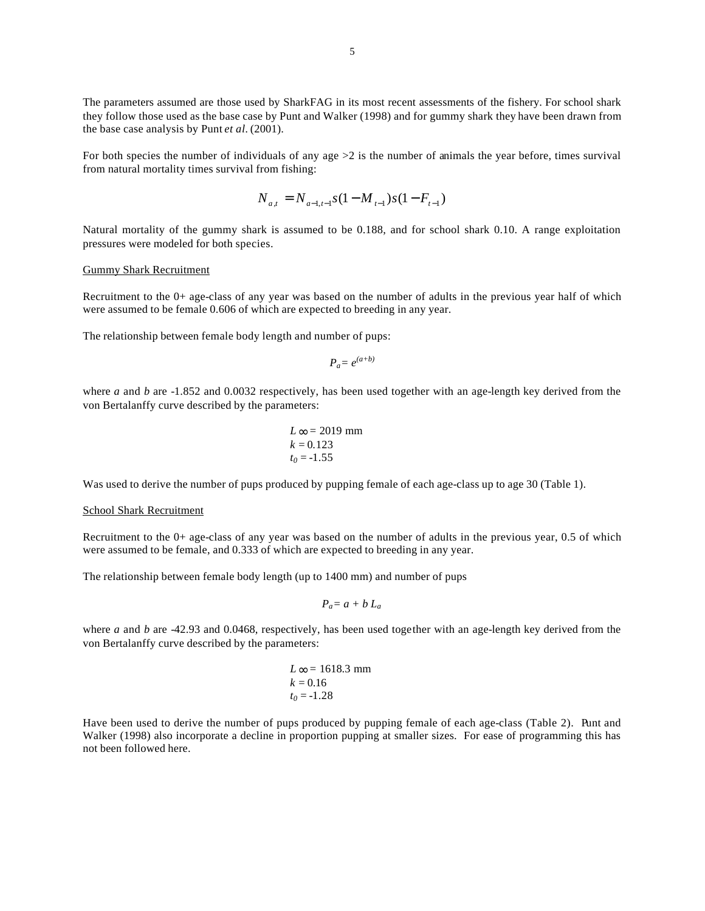The parameters assumed are those used by SharkFAG in its most recent assessments of the fishery. For school shark they follow those used as the base case by Punt and Walker (1998) and for gummy shark they have been drawn from the base case analysis by Punt *et al.* (2001).

For both species the number of individuals of any age  $>2$  is the number of animals the year before, times survival from natural mortality times survival from fishing:

$$
N_{a,t} = N_{a-1,t-1} s(1 - M_{t-1}) s(1 - F_{t-1})
$$

Natural mortality of the gummy shark is assumed to be 0.188, and for school shark 0.10. A range exploitation pressures were modeled for both species.

#### Gummy Shark Recruitment

Recruitment to the 0+ age-class of any year was based on the number of adults in the previous year half of which were assumed to be female 0.606 of which are expected to breeding in any year.

The relationship between female body length and number of pups:

$$
P_a = e^{(a+b)}
$$

where *a* and *b* are -1.852 and 0.0032 respectively, has been used together with an age-length key derived from the von Bertalanffy curve described by the parameters:

$$
L \infty = 2019 \text{ mm}
$$
  

$$
k = 0.123
$$
  

$$
t_0 = -1.55
$$

Was used to derive the number of pups produced by pupping female of each age-class up to age 30 (Table 1).

#### School Shark Recruitment

Recruitment to the 0+ age-class of any year was based on the number of adults in the previous year, 0.5 of which were assumed to be female, and 0.333 of which are expected to breeding in any year.

The relationship between female body length (up to 1400 mm) and number of pups

$$
P_a = a + b L_a
$$

where *a* and *b* are -42.93 and 0.0468, respectively, has been used together with an age-length key derived from the von Bertalanffy curve described by the parameters:

$$
L\infty = 1618.3 \text{ mm}
$$
  

$$
k = 0.16
$$
  

$$
t_0 = -1.28
$$

Have been used to derive the number of pups produced by pupping female of each age-class (Table 2). Punt and Walker (1998) also incorporate a decline in proportion pupping at smaller sizes. For ease of programming this has not been followed here.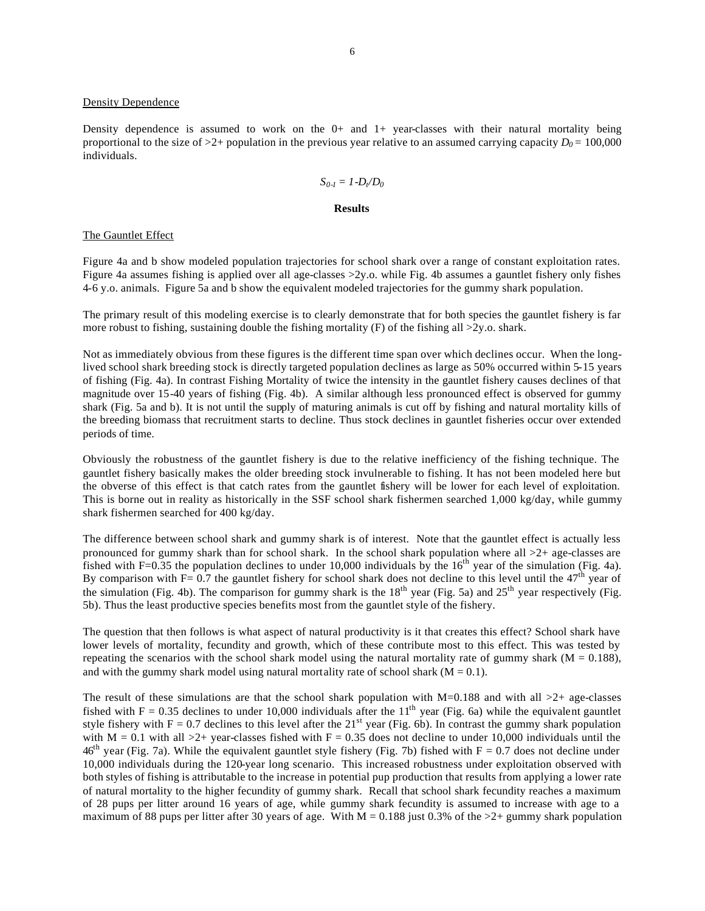#### Density Dependence

individuals.

Density dependence is assumed to work on the  $0+$  and  $1+$  year-classes with their natural mortality being proportional to the size of  $>2+$  population in the previous year relative to an assumed carrying capacity  $D_0 = 100,000$ 

$$
S_{0-l}=1-D_{t}/D_{0}
$$

#### **Results**

### The Gauntlet Effect

Figure 4a and b show modeled population trajectories for school shark over a range of constant exploitation rates. Figure 4a assumes fishing is applied over all age-classes  $>2y$ .o. while Fig. 4b assumes a gauntlet fishery only fishes 4-6 y.o. animals. Figure 5a and b show the equivalent modeled trajectories for the gummy shark population.

The primary result of this modeling exercise is to clearly demonstrate that for both species the gauntlet fishery is far more robust to fishing, sustaining double the fishing mortality  $(F)$  of the fishing all  $>2y$ .o. shark.

Not as immediately obvious from these figures is the different time span over which declines occur. When the longlived school shark breeding stock is directly targeted population declines as large as 50% occurred within 5-15 years of fishing (Fig. 4a). In contrast Fishing Mortality of twice the intensity in the gauntlet fishery causes declines of that magnitude over 15-40 years of fishing (Fig. 4b). A similar although less pronounced effect is observed for gummy shark (Fig. 5a and b). It is not until the supply of maturing animals is cut off by fishing and natural mortality kills of the breeding biomass that recruitment starts to decline. Thus stock declines in gauntlet fisheries occur over extended periods of time.

Obviously the robustness of the gauntlet fishery is due to the relative inefficiency of the fishing technique. The gauntlet fishery basically makes the older breeding stock invulnerable to fishing. It has not been modeled here but the obverse of this effect is that catch rates from the gauntlet fishery will be lower for each level of exploitation. This is borne out in reality as historically in the SSF school shark fishermen searched 1,000 kg/day, while gummy shark fishermen searched for 400 kg/day.

The difference between school shark and gummy shark is of interest. Note that the gauntlet effect is actually less pronounced for gummy shark than for school shark. In the school shark population where all  $>2+$  age-classes are fished with F=0.35 the population declines to under 10,000 individuals by the  $16<sup>th</sup>$  year of the simulation (Fig. 4a). By comparison with F=  $0.7$  the gauntlet fishery for school shark does not decline to this level until the  $47<sup>th</sup>$  year of the simulation (Fig. 4b). The comparison for gummy shark is the  $18<sup>th</sup>$  year (Fig. 5a) and  $25<sup>th</sup>$  year respectively (Fig. 5b). Thus the least productive species benefits most from the gauntlet style of the fishery.

The question that then follows is what aspect of natural productivity is it that creates this effect? School shark have lower levels of mortality, fecundity and growth, which of these contribute most to this effect. This was tested by repeating the scenarios with the school shark model using the natural mortality rate of gummy shark ( $M = 0.188$ ), and with the gummy shark model using natural mortality rate of school shark  $(M = 0.1)$ .

The result of these simulations are that the school shark population with  $M=0.188$  and with all  $>2+$  age-classes fished with  $F = 0.35$  declines to under 10,000 individuals after the 11<sup>th</sup> year (Fig. 6a) while the equivalent gauntlet style fishery with  $F = 0.7$  declines to this level after the  $21^{st}$  year (Fig. 6b). In contrast the gummy shark population with  $M = 0.1$  with all  $>2+$  year-classes fished with  $F = 0.35$  does not decline to under 10,000 individuals until the  $46<sup>th</sup>$  year (Fig. 7a). While the equivalent gauntlet style fishery (Fig. 7b) fished with F = 0.7 does not decline under 10,000 individuals during the 120-year long scenario. This increased robustness under exploitation observed with both styles of fishing is attributable to the increase in potential pup production that results from applying a lower rate of natural mortality to the higher fecundity of gummy shark. Recall that school shark fecundity reaches a maximum of 28 pups per litter around 16 years of age, while gummy shark fecundity is assumed to increase with age to a maximum of 88 pups per litter after 30 years of age. With  $M = 0.188$  just 0.3% of the  $>2+$  gummy shark population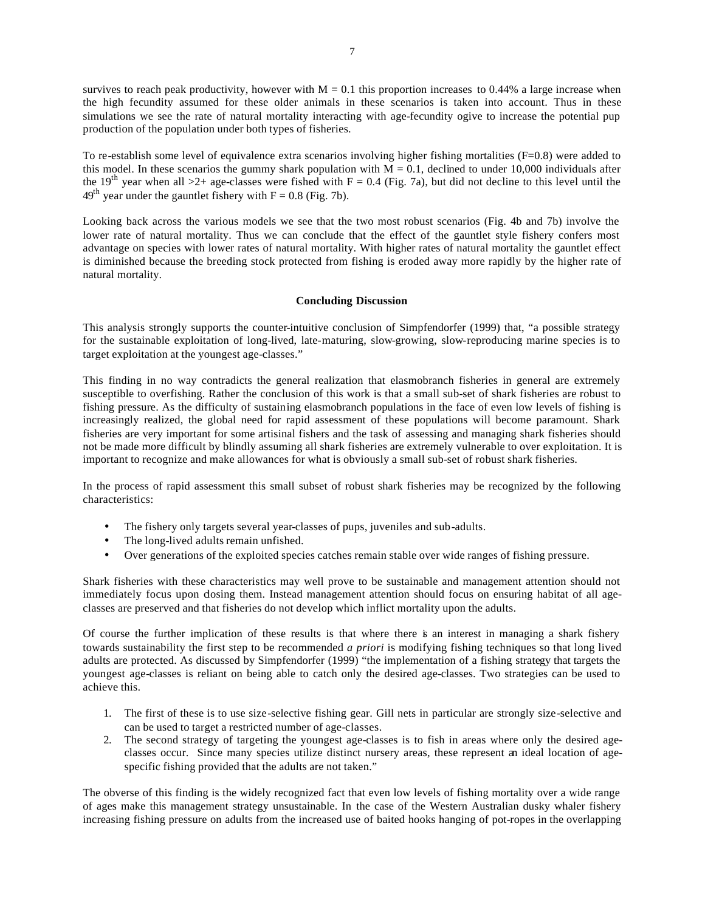survives to reach peak productivity, however with  $M = 0.1$  this proportion increases to 0.44% a large increase when the high fecundity assumed for these older animals in these scenarios is taken into account. Thus in these simulations we see the rate of natural mortality interacting with age-fecundity ogive to increase the potential pup production of the population under both types of fisheries.

To re-establish some level of equivalence extra scenarios involving higher fishing mortalities (F=0.8) were added to this model. In these scenarios the gummy shark population with  $M = 0.1$ , declined to under 10,000 individuals after the 19<sup>th</sup> year when all >2+ age-classes were fished with  $F = 0.4$  (Fig. 7a), but did not decline to this level until the  $49<sup>th</sup>$  year under the gauntlet fishery with F = 0.8 (Fig. 7b).

Looking back across the various models we see that the two most robust scenarios (Fig. 4b and 7b) involve the lower rate of natural mortality. Thus we can conclude that the effect of the gauntlet style fishery confers most advantage on species with lower rates of natural mortality. With higher rates of natural mortality the gauntlet effect is diminished because the breeding stock protected from fishing is eroded away more rapidly by the higher rate of natural mortality.

## **Concluding Discussion**

This analysis strongly supports the counter-intuitive conclusion of Simpfendorfer (1999) that, "a possible strategy for the sustainable exploitation of long-lived, late-maturing, slow-growing, slow-reproducing marine species is to target exploitation at the youngest age-classes."

This finding in no way contradicts the general realization that elasmobranch fisheries in general are extremely susceptible to overfishing. Rather the conclusion of this work is that a small sub-set of shark fisheries are robust to fishing pressure. As the difficulty of sustaining elasmobranch populations in the face of even low levels of fishing is increasingly realized, the global need for rapid assessment of these populations will become paramount. Shark fisheries are very important for some artisinal fishers and the task of assessing and managing shark fisheries should not be made more difficult by blindly assuming all shark fisheries are extremely vulnerable to over exploitation. It is important to recognize and make allowances for what is obviously a small sub-set of robust shark fisheries.

In the process of rapid assessment this small subset of robust shark fisheries may be recognized by the following characteristics:

- The fishery only targets several year-classes of pups, juveniles and sub-adults.
- The long-lived adults remain unfished.
- Over generations of the exploited species catches remain stable over wide ranges of fishing pressure.

Shark fisheries with these characteristics may well prove to be sustainable and management attention should not immediately focus upon closing them. Instead management attention should focus on ensuring habitat of all ageclasses are preserved and that fisheries do not develop which inflict mortality upon the adults.

Of course the further implication of these results is that where there is an interest in managing a shark fishery towards sustainability the first step to be recommended *a priori* is modifying fishing techniques so that long lived adults are protected. As discussed by Simpfendorfer (1999) "the implementation of a fishing strategy that targets the youngest age-classes is reliant on being able to catch only the desired age-classes. Two strategies can be used to achieve this.

- 1. The first of these is to use size-selective fishing gear. Gill nets in particular are strongly size-selective and can be used to target a restricted number of age-classes.
- 2. The second strategy of targeting the youngest age-classes is to fish in areas where only the desired ageclasses occur. Since many species utilize distinct nursery areas, these represent an ideal location of agespecific fishing provided that the adults are not taken."

The obverse of this finding is the widely recognized fact that even low levels of fishing mortality over a wide range of ages make this management strategy unsustainable. In the case of the Western Australian dusky whaler fishery increasing fishing pressure on adults from the increased use of baited hooks hanging of pot-ropes in the overlapping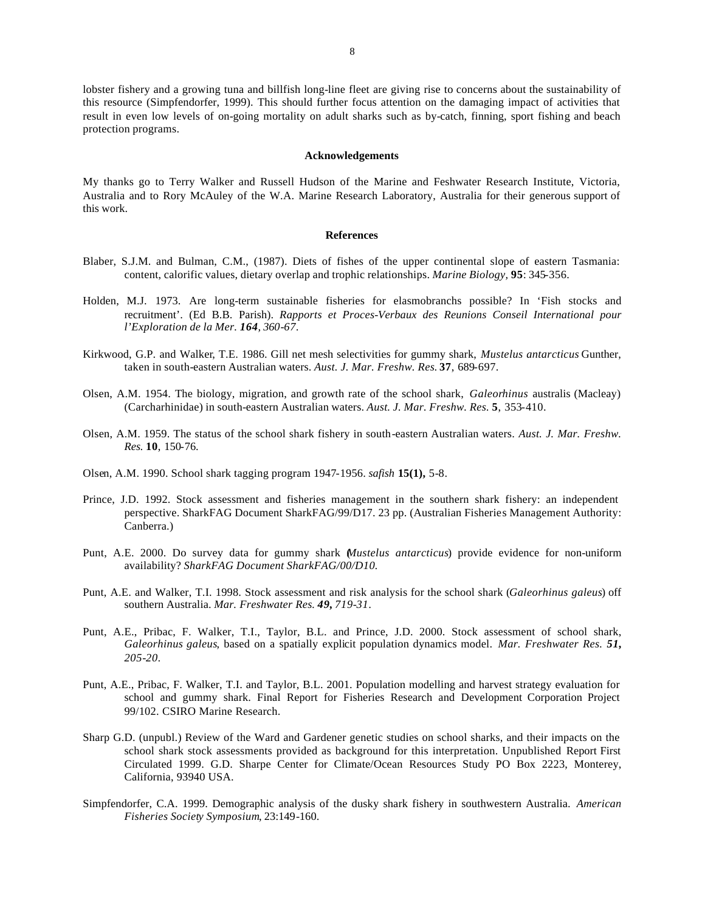lobster fishery and a growing tuna and billfish long-line fleet are giving rise to concerns about the sustainability of this resource (Simpfendorfer, 1999). This should further focus attention on the damaging impact of activities that result in even low levels of on-going mortality on adult sharks such as by-catch, finning, sport fishing and beach protection programs.

#### **Acknowledgements**

My thanks go to Terry Walker and Russell Hudson of the Marine and Feshwater Research Institute, Victoria, Australia and to Rory McAuley of the W.A. Marine Research Laboratory, Australia for their generous support of this work.

#### **References**

- Blaber, S.J.M. and Bulman, C.M., (1987). Diets of fishes of the upper continental slope of eastern Tasmania: content, calorific values, dietary overlap and trophic relationships. *Marine Biology,* **95**: 345-356.
- Holden, M.J. 1973. Are long-term sustainable fisheries for elasmobranchs possible? In 'Fish stocks and recruitment'. (Ed B.B. Parish). *Rapports et Proces-Verbaux des Reunions Conseil International pour l'Exploration de la Mer. 164, 360-67.*
- Kirkwood, G.P. and Walker, T.E. 1986. Gill net mesh selectivities for gummy shark, *Mustelus antarcticus* Gunther, taken in south-eastern Australian waters. *Aust. J. Mar. Freshw. Res.* **37**, 689-697.
- Olsen, A.M. 1954. The biology, migration, and growth rate of the school shark, *Galeorhinus* australis (Macleay) (Carcharhinidae) in south-eastern Australian waters. *Aust. J. Mar. Freshw. Res.* **5**, 353-410.
- Olsen, A.M. 1959. The status of the school shark fishery in south-eastern Australian waters. *Aust. J. Mar. Freshw. Res.* **10**, 150-76.
- Olsen, A.M. 1990. School shark tagging program 1947-1956. *safish* **15(1),** 5-8.
- Prince, J.D. 1992. Stock assessment and fisheries management in the southern shark fishery: an independent perspective. SharkFAG Document SharkFAG/99/D17. 23 pp. (Australian Fisheries Management Authority: Canberra.)
- Punt, A.E. 2000. Do survey data for gummy shark (*Mustelus antarcticus*) provide evidence for non-uniform availability? *SharkFAG Document SharkFAG/00/D10.*
- Punt, A.E. and Walker, T.I. 1998. Stock assessment and risk analysis for the school shark (*Galeorhinus galeus*) off southern Australia. *Mar. Freshwater Res. 49, 719-31.*
- Punt, A.E., Pribac, F. Walker, T.I., Taylor, B.L. and Prince, J.D. 2000. Stock assessment of school shark, *Galeorhinus galeus*, based on a spatially explicit population dynamics model. *Mar. Freshwater Res. 51, 205-20.*
- Punt, A.E., Pribac, F. Walker, T.I. and Taylor, B.L. 2001. Population modelling and harvest strategy evaluation for school and gummy shark. Final Report for Fisheries Research and Development Corporation Project 99/102. CSIRO Marine Research.
- Sharp G.D. (unpubl.) Review of the Ward and Gardener genetic studies on school sharks, and their impacts on the school shark stock assessments provided as background for this interpretation. Unpublished Report First Circulated 1999. G.D. Sharpe Center for Climate/Ocean Resources Study PO Box 2223, Monterey, California, 93940 USA.
- Simpfendorfer, C.A. 1999. Demographic analysis of the dusky shark fishery in southwestern Australia. *American Fisheries Society Symposium*, 23:149-160.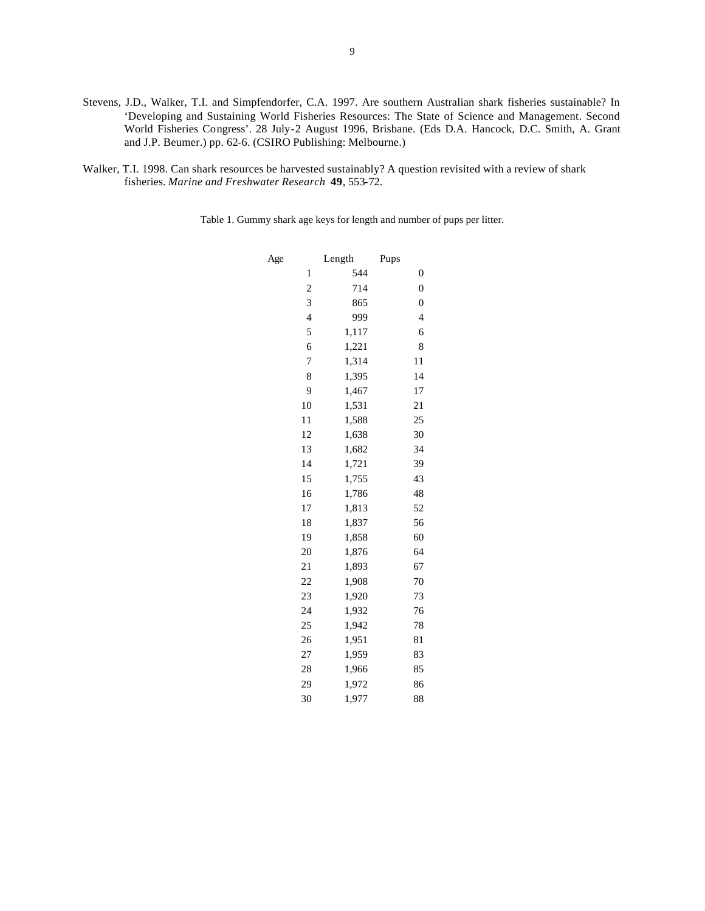- Stevens, J.D., Walker, T.I. and Simpfendorfer, C.A. 1997. Are southern Australian shark fisheries sustainable? In 'Developing and Sustaining World Fisheries Resources: The State of Science and Management. Second World Fisheries Congress'. 28 July-2 August 1996, Brisbane. (Eds D.A. Hancock, D.C. Smith, A. Grant and J.P. Beumer.) pp. 62-6. (CSIRO Publishing: Melbourne.)
- Walker, T.I. 1998. Can shark resources be harvested sustainably? A question revisited with a review of shark fisheries. *Marine and Freshwater Research* **49**, 553-72.

Table 1. Gummy shark age keys for length and number of pups per litter.

| Age |                         | Length | Pups                     |
|-----|-------------------------|--------|--------------------------|
|     | $\mathbf{1}$            | 544    | 0                        |
|     | $\overline{\mathbf{c}}$ | 714    | $\overline{0}$           |
|     | 3                       | 865    | $\overline{0}$           |
|     | $\overline{\mathbf{4}}$ | 999    | $\overline{\mathcal{L}}$ |
|     | 5                       | 1,117  | 6                        |
|     | 6                       | 1,221  | 8                        |
|     | 7                       | 1,314  | 11                       |
|     | 8                       | 1,395  | 14                       |
|     | 9                       | 1,467  | 17                       |
|     | 10                      | 1,531  | 21                       |
|     | 11                      | 1,588  | 25                       |
|     | 12                      | 1,638  | 30                       |
|     | 13                      | 1,682  | 34                       |
|     | 14                      | 1,721  | 39                       |
|     | 15                      | 1,755  | 43                       |
|     | 16                      | 1,786  | 48                       |
|     | 17                      | 1,813  | 52                       |
|     | 18                      | 1,837  | 56                       |
|     | 19                      | 1,858  | 60                       |
|     | 20                      | 1,876  | 64                       |
|     | 21                      | 1,893  | 67                       |
|     | 22                      | 1,908  | 70                       |
|     | 23                      | 1,920  | 73                       |
|     | 24                      | 1,932  | 76                       |
|     | 25                      | 1,942  | 78                       |
|     | 26                      | 1,951  | 81                       |
|     | 27                      | 1,959  | 83                       |
|     | 28                      | 1,966  | 85                       |
|     | 29                      | 1,972  | 86                       |
|     | 30                      | 1,977  | 88                       |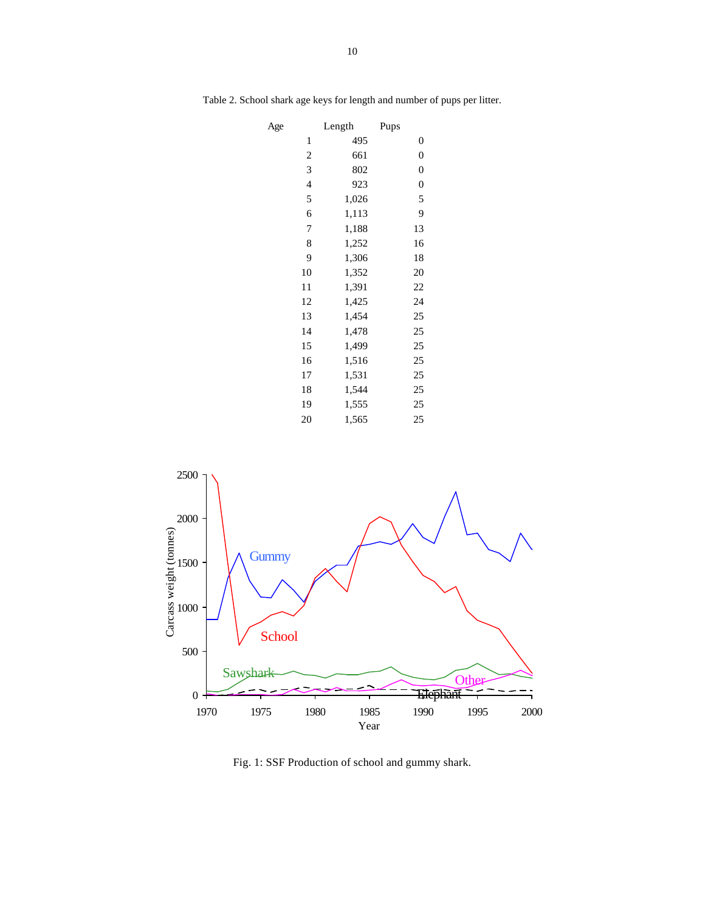| Age |    | Length | Pups             |
|-----|----|--------|------------------|
|     | 1  | 495    | 0                |
|     | 2  | 661    | $\boldsymbol{0}$ |
|     | 3  | 802    | $\boldsymbol{0}$ |
|     | 4  | 923    | $\boldsymbol{0}$ |
|     | 5  | 1,026  | 5                |
|     | 6  | 1,113  | 9                |
|     | 7  | 1,188  | 13               |
|     | 8  | 1,252  | 16               |
|     | 9  | 1,306  | 18               |
|     | 10 | 1,352  | 20               |
|     | 11 | 1,391  | 22               |
|     | 12 | 1,425  | 24               |
|     | 13 | 1,454  | 25               |
|     | 14 | 1,478  | 25               |
|     | 15 | 1,499  | 25               |
|     | 16 | 1,516  | 25               |
|     | 17 | 1,531  | 25               |
|     | 18 | 1,544  | 25               |
|     | 19 | 1,555  | 25               |
|     | 20 | 1,565  | 25               |

Table 2. School shark age keys for length and number of pups per litter.



Fig. 1: SSF Production of school and gummy shark.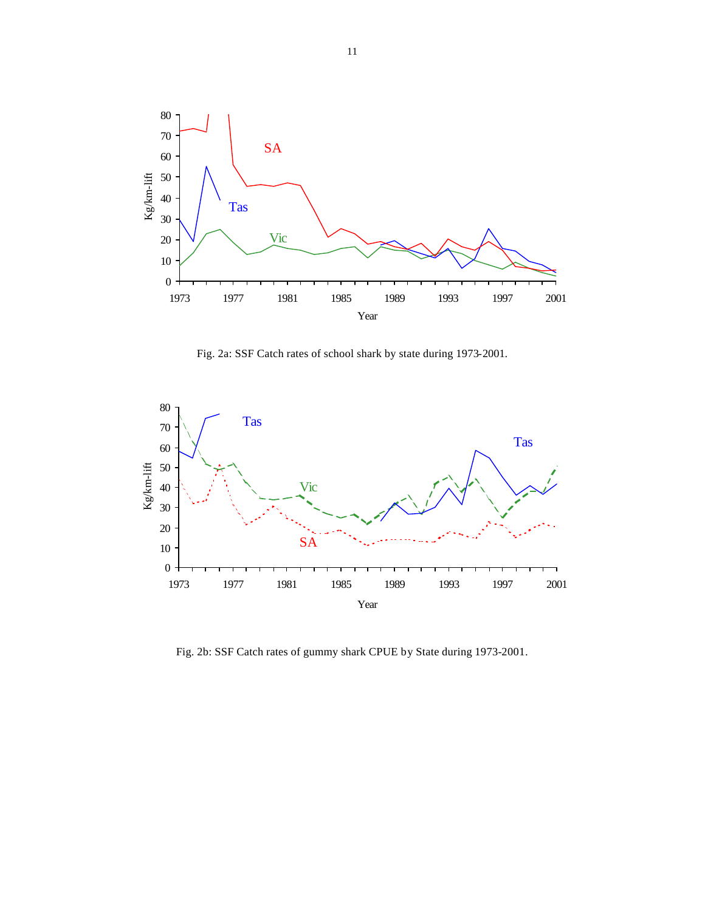

Fig. 2a: SSF Catch rates of school shark by state during 1973-2001.



Fig. 2b: SSF Catch rates of gummy shark CPUE by State during 1973-2001.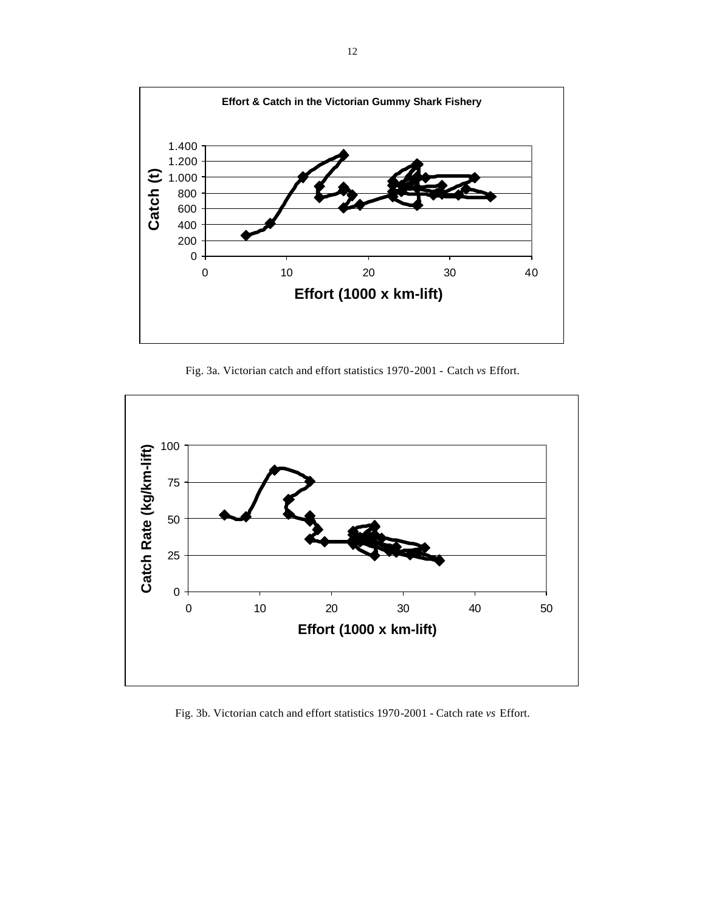

Fig. 3a. Victorian catch and effort statistics 1970-2001 - Catch *vs* Effort.



Fig. 3b. Victorian catch and effort statistics 1970-2001 - Catch rate *vs* Effort.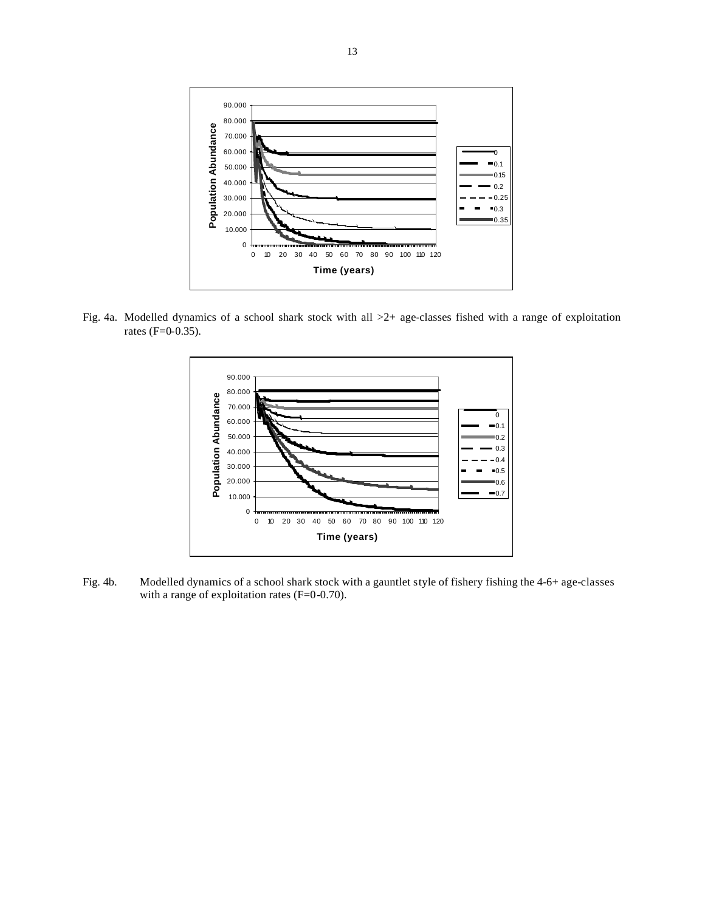

Fig. 4a. Modelled dynamics of a school shark stock with all >2+ age-classes fished with a range of exploitation rates (F=0-0.35).



Fig. 4b. Modelled dynamics of a school shark stock with a gauntlet style of fishery fishing the 4-6+ age-classes with a range of exploitation rates (F=0-0.70).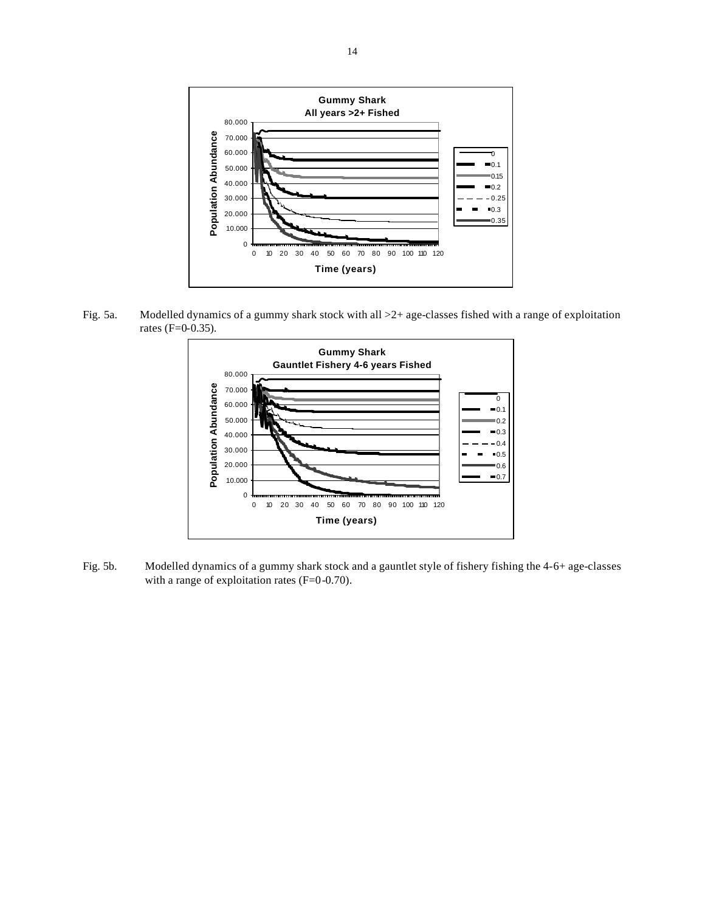

Fig. 5a. Modelled dynamics of a gummy shark stock with all >2+ age-classes fished with a range of exploitation rates (F=0-0.35).



Fig. 5b. Modelled dynamics of a gummy shark stock and a gauntlet style of fishery fishing the 4-6+ age-classes with a range of exploitation rates (F=0-0.70).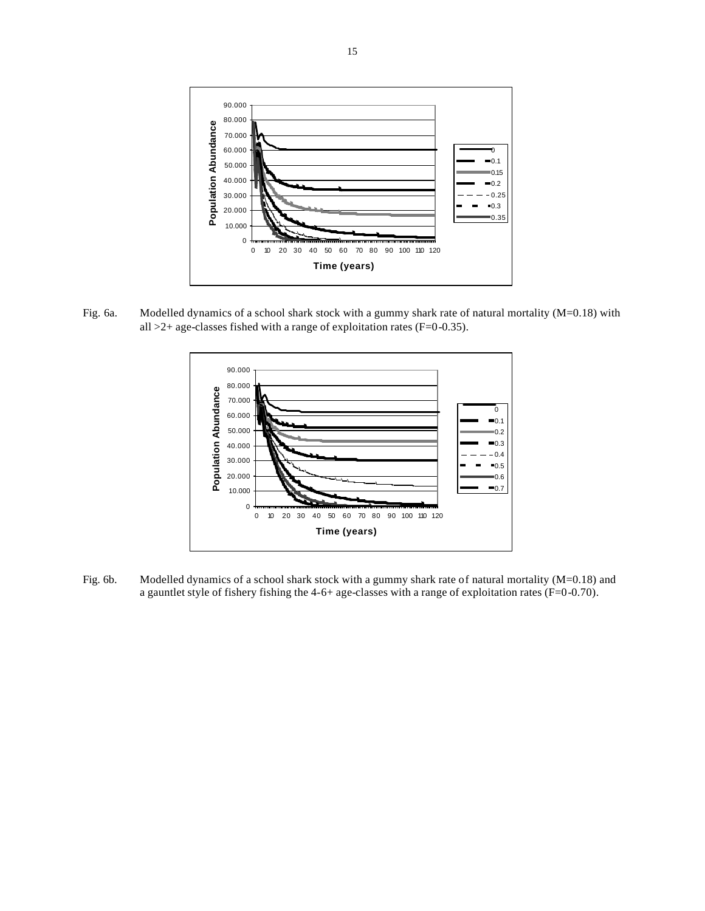

Fig. 6a. Modelled dynamics of a school shark stock with a gummy shark rate of natural mortality (M=0.18) with all  $>2+$  age-classes fished with a range of exploitation rates (F=0-0.35).



Fig. 6b. Modelled dynamics of a school shark stock with a gummy shark rate of natural mortality (M=0.18) and a gauntlet style of fishery fishing the 4-6+ age-classes with a range of exploitation rates (F=0-0.70).